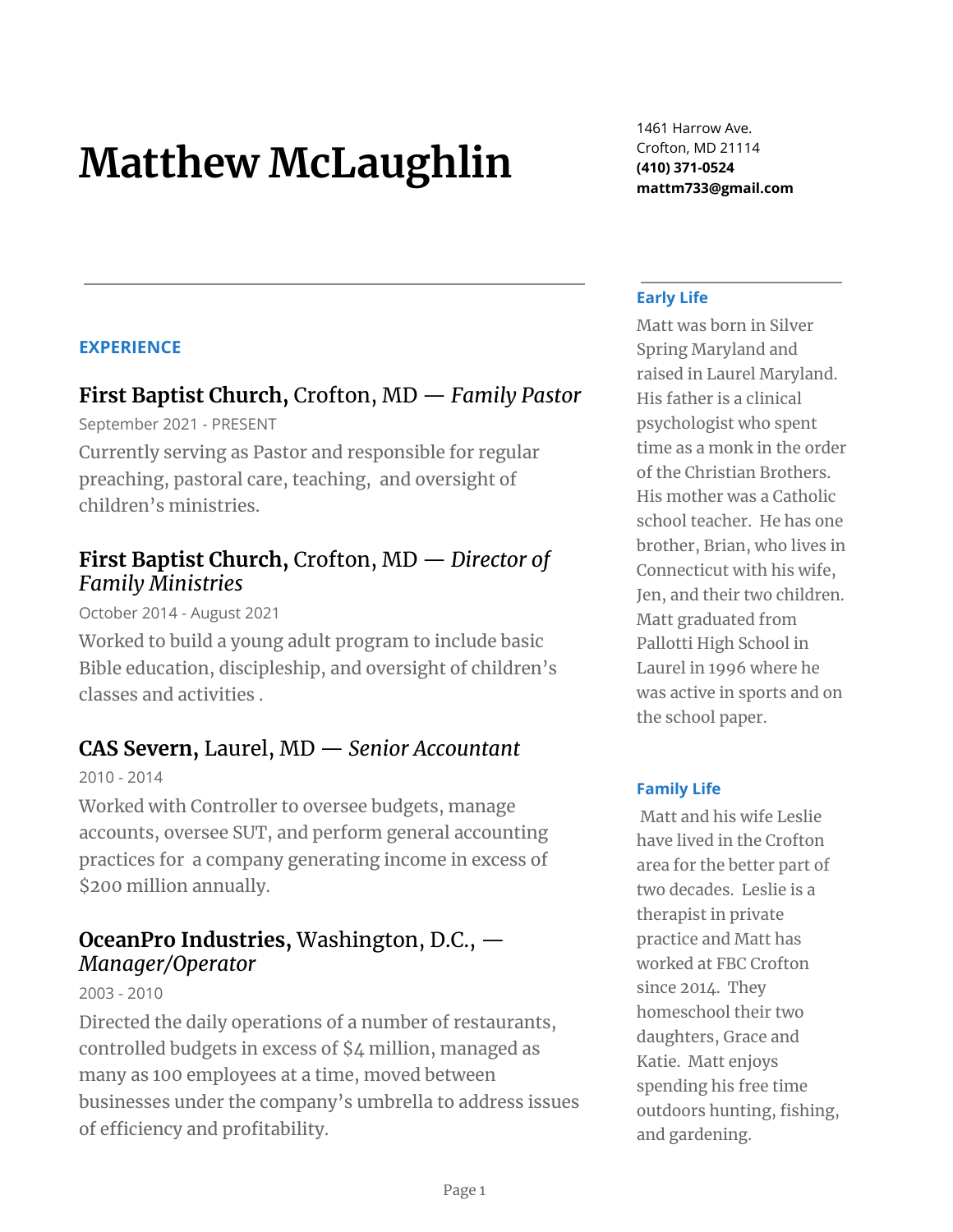# **Matthew McLaughlin**

**EXPERIENCE**

# **First Baptist Church,** Crofton, MD — *Family Pastor*

September 2021 - PRESENT

Currently serving as Pastor and responsible for regular preaching, pastoral care, teaching, and oversight of children's ministries.

### **First Baptist Church,** Crofton, MD — *Director of Family Ministries*

October 2014 - August 2021

Worked to build a young adult program to include basic Bible education, discipleship, and oversight of children's classes and activities .

## **CAS Severn,** Laurel, MD — *Senior Accountant*

2010 - 2014

Worked with Controller to oversee budgets, manage accounts, oversee SUT, and perform general accounting practices for a company generating income in excess of \$200 million annually.

## **OceanPro Industries,** Washington, D.C., — *Manager/Operator*

2003 - 2010

Directed the daily operations of a number of restaurants, controlled budgets in excess of \$4 million, managed as many as 100 employees at a time, moved between businesses under the company's umbrella to address issues of efficiency and profitability.

1461 Harrow Ave. Crofton, MD 21114 **(410) 371-0524 mattm733@gmail.com**

#### **Early Life**

Matt was born in Silver Spring Maryland and raised in Laurel Maryland. His father is a clinical psychologist who spent time as a monk in the order of the Christian Brothers. His mother was a Catholic school teacher. He has one brother, Brian, who lives in Connecticut with his wife, Jen, and their two children. Matt graduated from Pallotti High School in Laurel in 1996 where he was active in sports and on the school paper.

#### **Family Life**

Matt and his wife Leslie have lived in the Crofton area for the better part of two decades. Leslie is a therapist in private practice and Matt has worked at FBC Crofton since 2014. They homeschool their two daughters, Grace and Katie. Matt enjoys spending his free time outdoors hunting, fishing, and gardening.